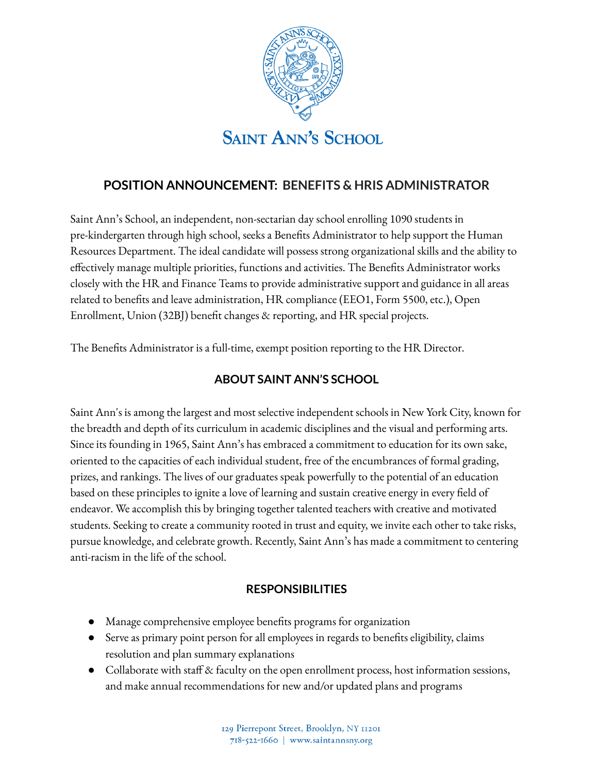

# **POSITION ANNOUNCEMENT: BENEFITS & HRIS ADMINISTRATOR**

Saint Ann's School, an independent, non-sectarian day school enrolling 1090 students in pre-kindergarten through high school, seeks a Benefits Administrator to help support the Human Resources Department. The ideal candidate will possess strong organizational skills and the ability to effectively manage multiple priorities, functions and activities. The Benefits Administrator works closely with the HR and Finance Teams to provide administrative support and guidance in all areas related to benefits and leave administration, HR compliance (EEO1, Form 5500, etc.), Open Enrollment, Union (32BJ) benefit changes & reporting, and HR special projects.

The Benefits Administrator is a full-time, exempt position reporting to the HR Director.

## **ABOUT SAINT ANN'S SCHOOL**

Saint Ann's is among the largest and most selective independent schools in New York City, known for the breadth and depth of its curriculum in academic disciplines and the visual and performing arts. Since its founding in 1965, Saint Ann's has embraced a commitment to education for its own sake, oriented to the capacities of each individual student, free of the encumbrances of formal grading, prizes, and rankings. The lives of our graduates speak powerfully to the potential of an education based on these principles to ignite a love of learning and sustain creative energy in every field of endeavor. We accomplish this by bringing together talented teachers with creative and motivated students. Seeking to create a community rooted in trust and equity, we invite each other to take risks, pursue knowledge, and celebrate growth. Recently, Saint Ann's has made a commitment to centering anti-racism in the life of the school.

## **RESPONSIBILITIES**

- Manage comprehensive employee benefits programs for organization
- Serve as primary point person for all employees in regards to benefits eligibility, claims resolution and plan summary explanations
- Collaborate with staff & faculty on the open enrollment process, host information sessions, and make annual recommendations for new and/or updated plans and programs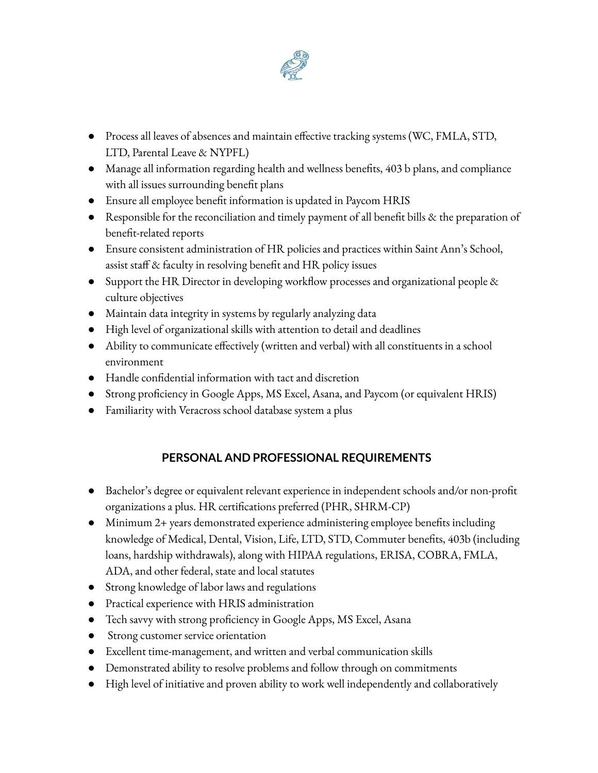

- Process all leaves of absences and maintain effective tracking systems (WC, FMLA, STD, LTD, Parental Leave & NYPFL)
- Manage all information regarding health and wellness benefits, 403 b plans, and compliance with all issues surrounding benefit plans
- Ensure all employee benefit information is updated in Paycom HRIS
- Responsible for the reconciliation and timely payment of all benefit bills & the preparation of benefit-related reports
- Ensure consistent administration of HR policies and practices within Saint Ann's School, assist staff & faculty in resolving benefit and HR policy issues
- Support the HR Director in developing workflow processes and organizational people & culture objectives
- Maintain data integrity in systems by regularly analyzing data
- High level of organizational skills with attention to detail and deadlines
- Ability to communicate effectively (written and verbal) with all constituents in a school environment
- Handle confidential information with tact and discretion
- Strong proficiency in Google Apps, MS Excel, Asana, and Paycom (or equivalent HRIS)
- Familiarity with Veracross school database system a plus

## **PERSONAL AND PROFESSIONAL REQUIREMENTS**

- Bachelor's degree or equivalent relevant experience in independent schools and/or non-profit organizations a plus. HR certifications preferred (PHR, SHRM-CP)
- Minimum 2+ years demonstrated experience administering employee benefits including knowledge of Medical, Dental, Vision, Life, LTD, STD, Commuter benefits, 403b (including loans, hardship withdrawals), along with HIPAA regulations, ERISA, COBRA, FMLA, ADA, and other federal, state and local statutes
- Strong knowledge of labor laws and regulations
- Practical experience with HRIS administration
- Tech savvy with strong proficiency in Google Apps, MS Excel, Asana
- Strong customer service orientation
- Excellent time-management, and written and verbal communication skills
- Demonstrated ability to resolve problems and follow through on commitments
- High level of initiative and proven ability to work well independently and collaboratively